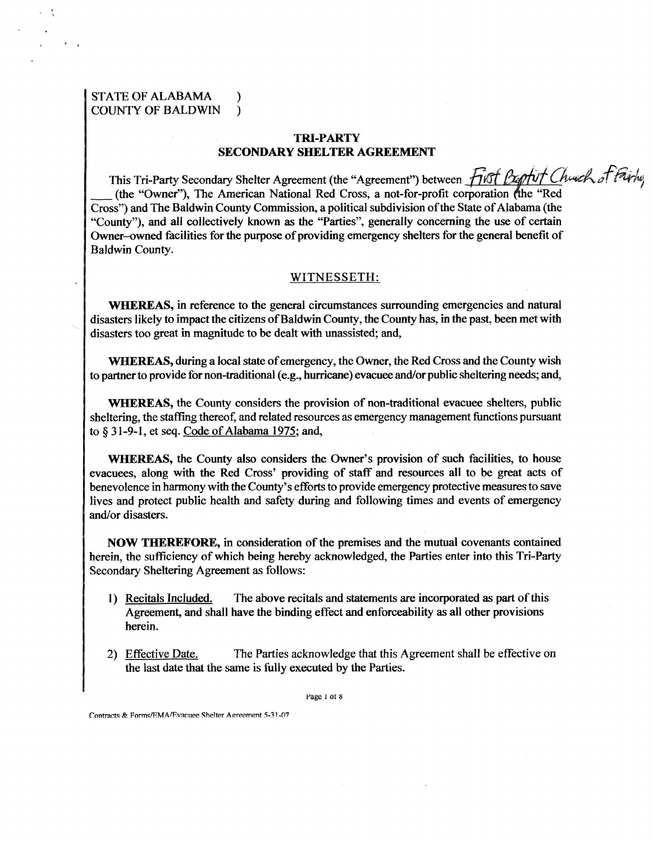## STATE OF ALABAMA ) COUNTY OF **BALDWIN** )

## **m-PARTY SECONDARY SHELTER AGREEMENT**

This Tri-Party Secondary Shelter Agreement (the "Agreement") between TRI-PARTY<br>
SECONDARY SHELTER AGREEMENT<br>
This Tri-Party Secondary Shelter Agreement (the "Agreement") between<br>
(the "Owner"), The American National Red Cross, a not-for-profit coross") and The Baldwin County Commission, a p Cross") and The Baldwin County Commission, a political subdivision of the State of Alabama (the "County"), and all collectively known as the "Parties", generally concerning the use of certain Owner-owned facilities for the purpose of providing emergency shelters for the general benefit of Baldwin County.

## WITNESSETH:

**WHEREAS, in reference to the general circumstances surrounding emergencies and natural** disasters likely to impact the citizens of Baldwin County, the County has, in the past, been met with disasters too great in magnitude to be dealt with unassisted; and,

WHEREAS, during a local state of emergency, the Owner, the Red Cross and the County wish to partner to provide for non-traditional (e-g., hurricane) evacuee and/or public sheltering needs; and,

**WHEREAS,** the County considers the provision of non-traditional evacuee shelters, public sheltering, the staffing thereof, and related resources as emergency managemat functions pursuant to **tj** 3 1-9-1, et **seq.** Code of Alabama 1975; and,

**WHEREAS,** the County also considers the Owner's provision of such facilities, to house evacuees, along with the Red Cross' providing of staff and resources all to be great acts of benevolence in harmony with the County's efForts to provide emergency protective measures to save lives and protect public health and safety during and following times and events of emergency and/or disasters.

**NOW THEREFORE,** in consideration of the premises and the mutual covenants contained herein, the sufficiency of which being hereby acknowledged, the Parties enter into this Tri-Party Secondary Sheltering Agreement as follows:

- 1) Recitals Included. The above recitals and statements are incorporated as **part** of this Agreement, and shall have the binding effect and enforceability as all other provisions herein.
- 2) Effective Date. The Parties acknowledge that this Agreement shall be effective on the last date that the same is fully executed by the Parties.

Page 1 of 8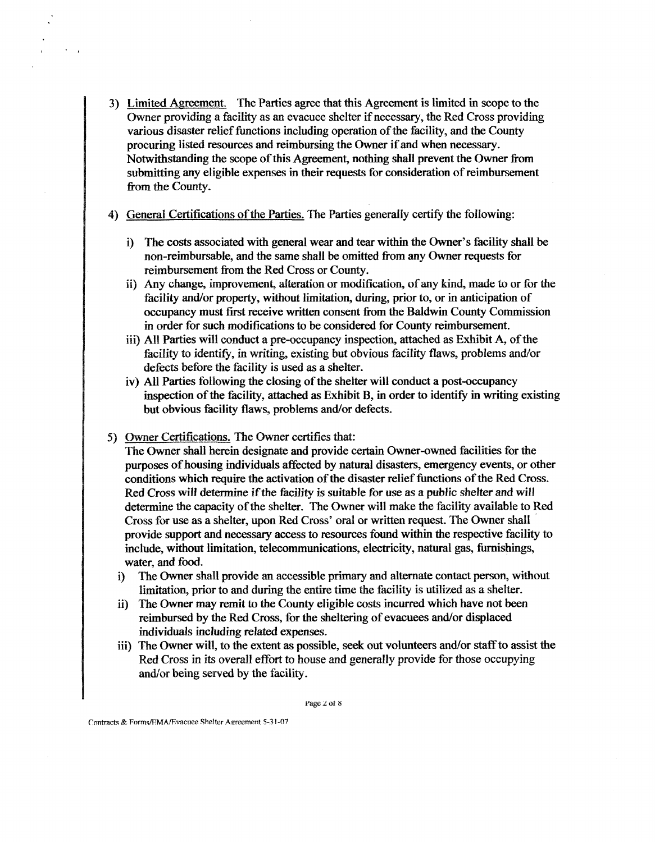- 3) Limited Amement. The Parties **agree** that this Agreement is limited in scope to the Owner providing a facility as an evacuee shelter if necessary, the Red Cross providing various disaster relief functions including operation of the facility, and the County procuring listed resources and reimbursing the Owner if and when necessary. Notwithstanding the scope of this Agreement, nothing shall prevent the Owner from submitting any eligible expenses in their requests for consideration of reimbursement from the County.
- 4) General Certifications of the Parties. The Parties generally certify the following:
	- i) The costs associated with general wear and tear within the Owner's facility shall be non-reimbursable, and the same shall be omitted fiom any Owner requests for reimbursement fiom the Red Cross or County.
	- ii) Any change, improvement, aiteration or modification, of any **kind,** made to or for the facility and/or property, without limitation, during, prior to, or in anticipation of occupancy must first receive written consent from the Baldwin County Commission in order for such modifications to be considered for County reimbursement.
	- iii) All Parties will conduct a pre-occupancy inspection, attached as Exhibit A, of the facility to identify, in writing, existing but obvious facility flaws, problems and/or defects before the facility is used as a shelter.
	- iv) All Parties following the closing of the shelter will conduct a post-occupancy inspection of the facility, attached as Exhibit B, in order to identify in writing existing but obvious facility flaws, problems and/or defects.
- 5) Ovvner Certificatiom. The Owner certifies that:

The Owner shall herein designate and provide certain Owner-owned facilities for the purposes of housing individuals affected by natural disasters, emergency events, or other conditions which require the activation of the disaster relief functions of the Red Cross. Red Cross will determine if the facility is suitable for use as a public shelter and will determine the capacity of the shelter. The Owner will make the facility available to Red Cross for use as a shelter, upon **Red** Cross' oral or written request. The Owner shall provide support and necessary access to resources found within the respective facility to include, without limitation, telecommunications, electricity, natural gas, furnishings, water, and food.

- i) The Owner shall provide an accessible primary and alternate contact person, without limitation, prior to and during the entire time the facility is utilized as a shelter.
- ii) The Owner may remit to the County eligible costs incurred which have not been reimbursed by the Red Cross, for the sheltering of evacuees and/or displaced individuals including related expenses.
- iii) The Owner will, to the extent as possible, seek out volunteers and/or staff to assist the Red Cross in its overall effort to house and generally provide for those occupying and/or being served by the facility.

**rage i ot 8**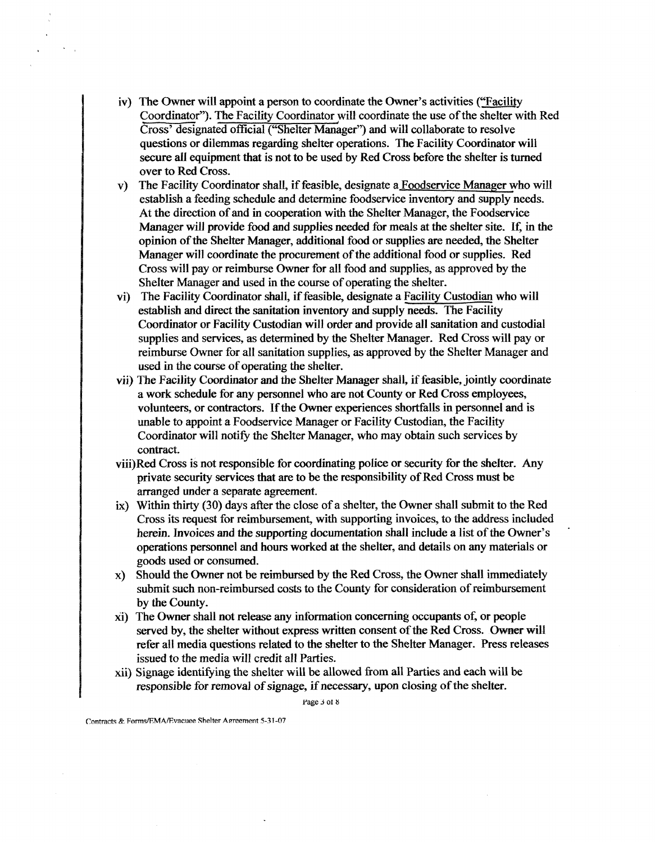- iv) The Owner will appoint a person to coordinate the Owner's activities ("Faciligy Coordinator"). The Facility Coordinator will coordinate the use of the shelter with Red Cross' designated official ("Shelter Manager") and will collaborate to resolve questions or dilemmas regarding shelter operations. The Facility Coordinator will secure all equipment that is not to be used by Red Cross before the shelter is turned over to Red Cross.
- **v)** The Facility Coordinator shall, if feasible, designate a Foodservice Manager who will establish a feeding schedule and determine foodservice inventory and supply needs. At the direction of and in cooperation with the Shelter Manager, the Foodservice Manager will provide food and supplies needed for meals at the shelter site. If, in the opinion of the Shelter Manager, additional food or supplies **are** needed, the Shelter Manager will coordinate the procurement of the additional food or supplies. Red Cross will pay or reimburse Owner for all food and supplies, as approved by the Shelter Manager and used in the course of operating the shelter.
- vi) The Facility Coordinator shall, if feasible, designate a Facility Custodian who will establish and direct the sanitation inventory and supply needs. The Facility Coordinator or Facility Custodian will order and provide all sanitation and custodial supplies and services, as determined by the Shelter Manager. Red Cross will pay or reimburse Owner for all sanitation supplies, **as** approved by the Shelter Manager and used in the course of operating the shelter.
- vii) The Facility Coordinator and the Shelter Manager shall, if feasible, jointly coordinate a work schedule for **any** personnel who **are** not County or Red Cross employees, volunteers, or contractors. If the Owner experiences shortfalls in personnel and is unable to appoint a Foodservice Manager or Facility Custodian, the Facility Coordinator will notify the Shelter Manager, who may obtain such services by contract.
- viii)Red Cross is not responsible for coordinating police or security for the shelter. Any private security services that are to be the responsibility of Red Cross must be arranged under a separate agreement.
- $ix)$  Within thirty (30) days after the close of a shelter, the Owner shall submit to the Red Cross its request for reimbursennent, with supporting invoices, to the address included herein. Invoices and the supporting documentation shall include a list of the Owner's operations personnel and hours worked at the shelter, and details on any materials or goods used or consumed.
- x) Should the Owner not be reimbursed by the Red Cross, the Owner shall immediately submit such non-reimbursed costs to the County for consideration of reimbursement by the County.
- xi) The Owner shall not release any information concerning occupants of, or people served by, the shelter without express written consent of the Red Cross. Owner will refer all media questions related to the shelter to the Shelter Manager. Press releases issued to the media will credit all Parties.
- xii) Signage identiEying the shelter will **be** allowed fiom all Parties and each will be responsible for removal of signage, if necessary, upon closing of the shelter.

rage **j ot a**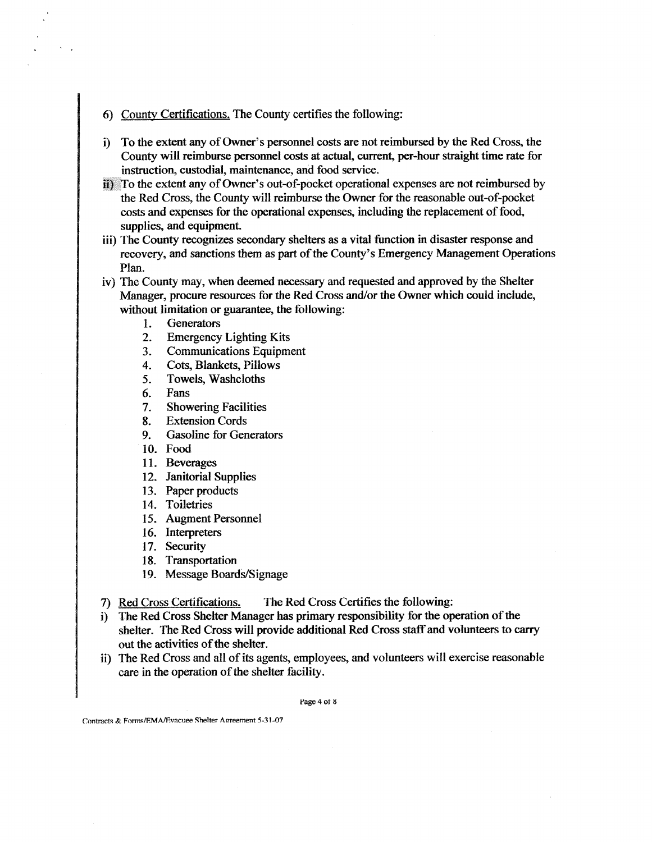- 6) Countv Certifications. The County certifies the following:
- i) To the extent any of Owner's personnel costs are not reimbursed by the Red Cross, the County will reimburse personnel costs at actual, current, per-hour straight time rate for instruction, custodial, maintenance, and food service.
- $\ddot{i}$ ) To the extent any of Owner's out-of-pocket operational expenses are not reimbursed by the Red Cross, the County will reimburse the Owner for the reasonable out-of-pocket costs and expenses for the operational expenses, including the replacement of food, supplies, and equipment.
- iii) The County recognizes secondary shelters as a vital function in disaster response and recovery, and sanctions them as part of the County's Emergency Management Operations Plan.
- iv) The County may, when deemed necessary and requested and approved by the Shelter Manager, procure resources for the Red Cross and/or the Owner which could include, without limitation or **guarantee,** the following:
	- 1. Generators
	- 2. Emergency Lighting Kits
	- 3. Communications Equipment
	- 4. Cots, Blankets, Pillows
	- 5. Towels, Washcloths
	- 6. Fans
	- 7. Showering Facilities
	- 8. Extension Cords
	- 9. Gasoline for Generators
	- 10. Food
	- 11. Beverages
	- 12. Janitorial Supplies
	- 13. Paper products
	- 14. Toiletries
	- 15. Augment Personnel
	- 16. Interpreters
	- 17. Security
	- 18. Transportation
	- 19. Message Boards/Signage
- 7) Red Cross Certifications. The Red Cross Certifies the following:
- i) The Red Cross Shelter Manager has primary responsibility for the operation of the shelter. The Red Cross will provide additional Red Cross staff and volunteers to **carry**  out the activities of the shelter.
- ii) The Red Cross and all of its agents, employees, and volunteers will exercise reasonable care in the operation of the shelter facility.

Page 4 of 8

**lontracts** &. **FormslEMAfi?vacuee Shelter Amement 5-3 1-07**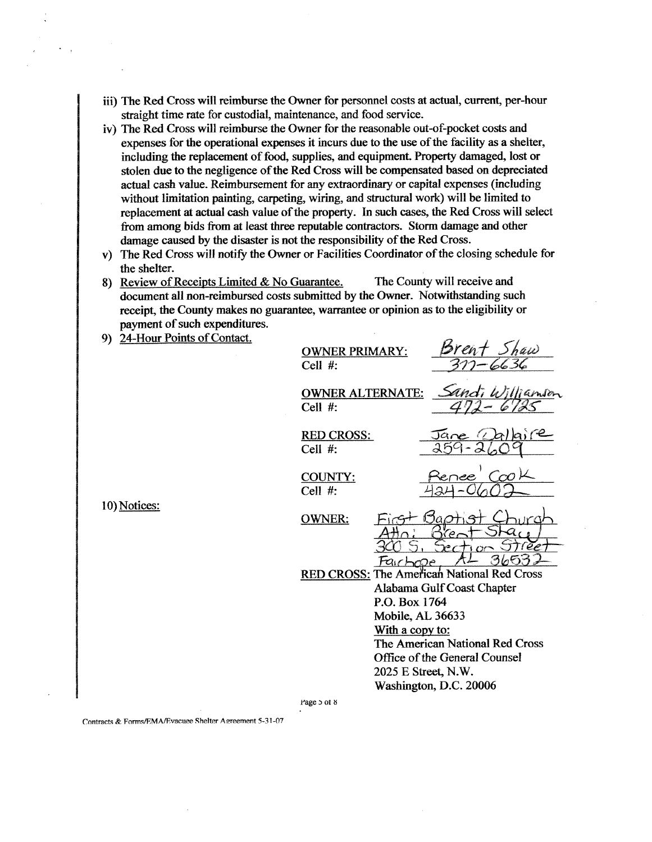- iii) The Red Cross will reimburse the Owner for personnel costs at actual, current, per-hour straight time rate for custodial, maintenance, and food service.
- iv) The Red Cross will reimburse the Owner for the reasonable out-of-pocket costs and expenses for the operational expenses it incurs due to the use of the facility as a shelter, including the replacement of food, supplies, and equipment. **Property** damaged, lost or stolen due to the negligence of the Red Cross will be compensated based on depreciated actual cash value. Reimbursement for any extraordinary or capital expenses (including without limitation painting, carpeting, wiring, and structural work) will be limited to replacement **at** actual cash value of the property. In such cases, the Red Cross will select from among bids from at least three reputable contractors. Storm damage and other damage caused by the disaster is not the responsibility of the Red Cross.
- **v)** The Red Cross will notify the **Owner** or Facilities Coordinator of the closing schedule for the shelter.
- 8) Review of Receipts Limited & No **Guarantee.** The **County** will receive and document all non-reimbwsed costs submitted by the Owner. Notwithstanding such receipt, the County makes no **guarantee,** wanrantee or opinion as to the eligibility or payment of such expenditures.
- 9) 24-Hour Points of Contact.

**OWNER PRIMARY:** Cell  $#$ :

<u>Brent</u> Shaw<br>311 - 6636

Cell #:

OWNER ALTERNATE: Sandi Williamson

RED CROSS: Cell #:

COUNTY: Cell #:

**10)** Notices:

OWNER:  $\alpha$ Fairbroe

RED CROSS: The American National Red Cross Alabama Gulf Coast Chapter P.O. Box 1764 Mobile, **AL 36633**  With a copy to: The American National Red Cross Office of the General Counsel **2025** E Stxeet, N.W. Washington, D.C. **20006** 

**rage s ot 8**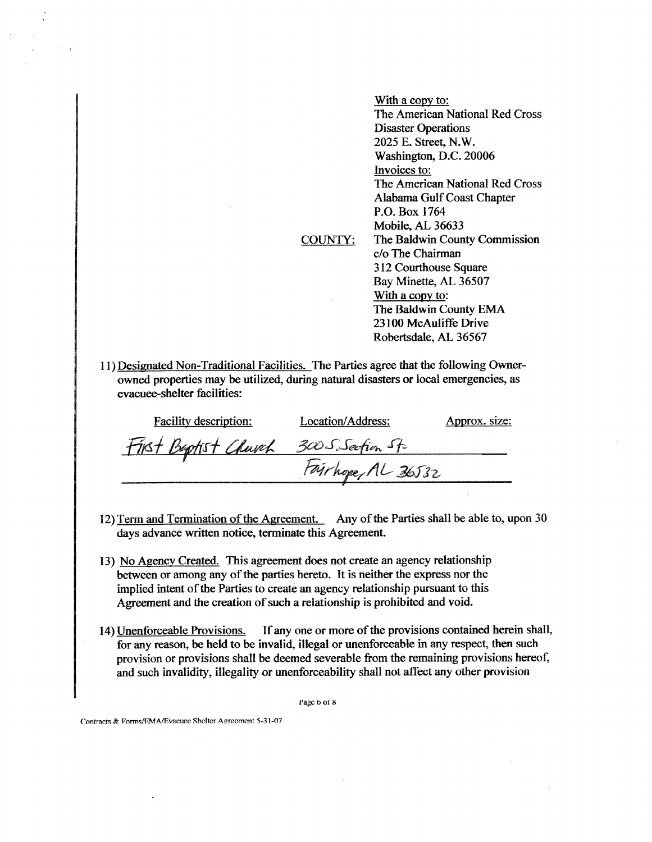|                                                                            | <u>With a copy to:</u>          |
|----------------------------------------------------------------------------|---------------------------------|
|                                                                            | The American National Red Cross |
|                                                                            | <b>Disaster Operations</b>      |
|                                                                            | 2025 E. Street, N.W.            |
|                                                                            | Washington, D.C. 20006          |
|                                                                            | Invoices to:                    |
|                                                                            | The American National Red Cross |
|                                                                            | Alabama Gulf Coast Chapter      |
|                                                                            | P.O. Box 1764                   |
|                                                                            | Mobile, AL 36633                |
| COUNTY:                                                                    | The Baldwin County Commission   |
|                                                                            | c/o The Chairman                |
|                                                                            | 312 Courthouse Square           |
|                                                                            | Bay Minette, AL 36507           |
|                                                                            | With a copy to:                 |
|                                                                            | The Baldwin County EMA          |
|                                                                            | 23100 McAuliffe Drive           |
|                                                                            | Robertsdale, AL 36567           |
|                                                                            |                                 |
| d Non-Traditional Facilities. The Parties agree that the following Owner-  |                                 |
| poerties may be utilized during natural disasters or local emergencies, as |                                 |

11) Designate owned properties may be utilized, during natural disasters or local emergencies, evacuee-shelter facilities:

| <b>Facility description:</b>            | Location/Address:  | Approx. size: |
|-----------------------------------------|--------------------|---------------|
| First Beptist Church 300 S. Section St. |                    |               |
|                                         | Fairhope, AL 36532 |               |

- 12) Term and Termination of the Agreement. Any of the Parties shall be able to, upon 30 days advance written notice, terminate this Agreement.
- 13) No Agency Created. This agreement does not create an agency relationship between or among any of the parties hereto. It is neither the express nor the implied intent of the Parties to create an agency relationship pursuant to this Agreement and the creation of such a relationship is prohibited and void.
- 14) Unenforceable Provisions. If any one or more of the provisions contained herein shall, for any reason, be held to be invalid, illegal or unenforceable in any respect, then such provision or provisions shall be deemed severable from the remaining provisions hereof, and such invalidity, illegality or menforceability shall not affect any other provision

Page 6 of 8

**Imtnct?** &. **FnrmsRMARvacuee Shelter A** meement **5-3 7-07**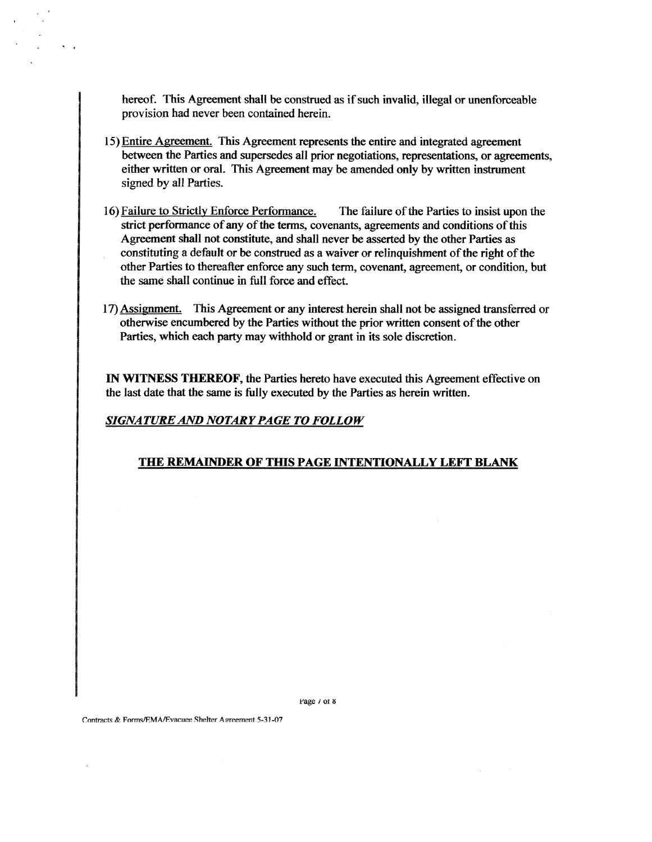hereof. This Agreement shall be construed **as** if such invalid, illegal or unenforceable provision had never been contained herein.

- 15) Entire Agreement. This Agreement represents the entire and integrated agreement between the Parties and supersedes all prior negotiations, representations, or agreements, either written or oral. This Agreement may be amended only by written instrument signed by all Parties.
- 16) Failure to Strictly Enforce Perfomance. The failure of the Parties to insist upon the strict performance of any of the terms, covenants, agreements and conditions of this Agreement shall not constitute, and shall never be asserted by the other Parties as constituting a default or be construed as a waiver or relinquishment of the right of the other Parties to thereafter enforce **any** such term, covenant, agreement, or condition, but the same shall continue in full force and effect.
- 17) Assignment. This Agreement or any interest herein shall not be assigned transferred or othenvise encumbered by the Parties without the prior witten consent of the other Parties, which each party may withhold or grant in its sole discretion.

IN WITNESS THEREOF, the Parties hereto have executed this Agreement effective on the last date that the same is filly executed by the Parties as herein written.

*SIGNATURE AND NOTARY PAGE TO FOLLOW* 

## THE REMAINDER OF THIS PAGE INTENTIONALLY LEFT BLANK

**rage 1 ot a**